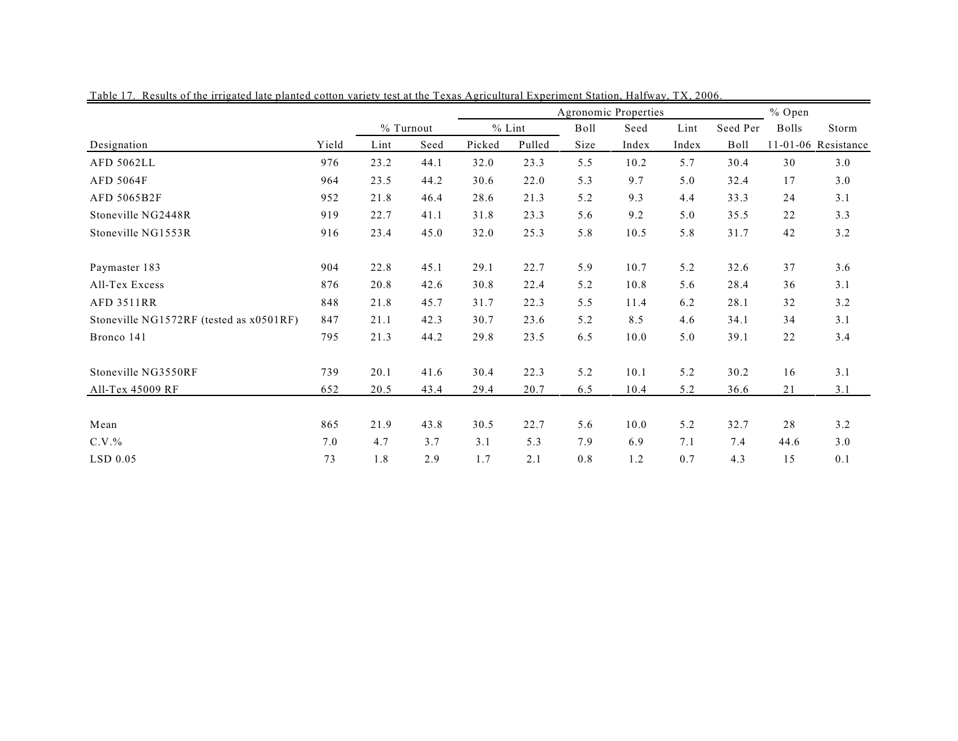|                                         |       |           |      |          | % Open |      |       |       |          |       |                     |
|-----------------------------------------|-------|-----------|------|----------|--------|------|-------|-------|----------|-------|---------------------|
|                                         |       | % Turnout |      | $%$ Lint |        | Boll | Seed  | Lint  | Seed Per | Bolls | Storm               |
| Designation                             | Yield | Lint      | Seed | Picked   | Pulled | Size | Index | Index | Boll     |       | 11-01-06 Resistance |
| <b>AFD 5062LL</b>                       | 976   | 23.2      | 44.1 | 32.0     | 23.3   | 5.5  | 10.2  | 5.7   | 30.4     | 30    | 3.0                 |
| <b>AFD 5064F</b>                        | 964   | 23.5      | 44.2 | 30.6     | 22.0   | 5.3  | 9.7   | 5.0   | 32.4     | 17    | 3.0                 |
| AFD 5065B2F                             | 952   | 21.8      | 46.4 | 28.6     | 21.3   | 5.2  | 9.3   | 4.4   | 33.3     | 24    | 3.1                 |
| Stoneville NG2448R                      | 919   | 22.7      | 41.1 | 31.8     | 23.3   | 5.6  | 9.2   | 5.0   | 35.5     | 22    | 3.3                 |
| Stoneville NG1553R                      | 916   | 23.4      | 45.0 | 32.0     | 25.3   | 5.8  | 10.5  | 5.8   | 31.7     | 42    | 3.2                 |
| Paymaster 183                           | 904   | 22.8      | 45.1 | 29.1     | 22.7   | 5.9  | 10.7  | 5.2   | 32.6     | 37    | 3.6                 |
| All-Tex Excess                          | 876   | 20.8      | 42.6 | 30.8     | 22.4   | 5.2  | 10.8  | 5.6   | 28.4     | 36    | 3.1                 |
| <b>AFD 3511RR</b>                       | 848   | 21.8      | 45.7 | 31.7     | 22.3   | 5.5  | 11.4  | 6.2   | 28.1     | 32    | 3.2                 |
| Stoneville NG1572RF (tested as x0501RF) | 847   | 21.1      | 42.3 | 30.7     | 23.6   | 5.2  | 8.5   | 4.6   | 34.1     | 34    | 3.1                 |
| Bronco 141                              | 795   | 21.3      | 44.2 | 29.8     | 23.5   | 6.5  | 10.0  | 5.0   | 39.1     | 22    | 3.4                 |
| Stoneville NG3550RF                     | 739   | 20.1      | 41.6 | 30.4     | 22.3   | 5.2  | 10.1  | 5.2   | 30.2     | 16    | 3.1                 |
| All-Tex 45009 RF                        | 652   | 20.5      | 43.4 | 29.4     | 20.7   | 6.5  | 10.4  | 5.2   | 36.6     | 21    | 3.1                 |
| Mean                                    | 865   | 21.9      | 43.8 | 30.5     | 22.7   | 5.6  | 10.0  | 5.2   | 32.7     | 28    | 3.2                 |
| $C.V.$ %                                | 7.0   | 4.7       | 3.7  | 3.1      | 5.3    | 7.9  | 6.9   | 7.1   | 7.4      | 44.6  | 3.0                 |
| LSD 0.05                                | 73    | 1.8       | 2.9  | 1.7      | 2.1    | 0.8  | 1.2   | 0.7   | 4.3      | 15    | 0.1                 |

Table 17. Results of the irrigated late planted cotton variety test at the Texas Agricultural Experiment Station, Halfway, TX, 2006.